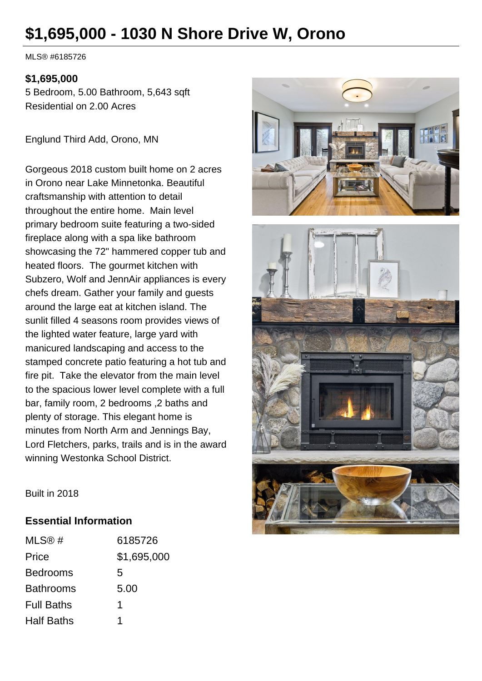## **\$1,695,000 - 1030 N Shore Drive W, Orono**

MLS® #6185726

## **\$1,695,000**

5 Bedroom, 5.00 Bathroom, 5,643 sqft Residential on 2.00 Acres

Englund Third Add, Orono, MN

Gorgeous 2018 custom built home on 2 acres in Orono near Lake Minnetonka. Beautiful craftsmanship with attention to detail throughout the entire home. Main level primary bedroom suite featuring a two-sided fireplace along with a spa like bathroom showcasing the 72" hammered copper tub and heated floors. The gourmet kitchen with Subzero, Wolf and JennAir appliances is every chefs dream. Gather your family and guests around the large eat at kitchen island. The sunlit filled 4 seasons room provides views of the lighted water feature, large yard with manicured landscaping and access to the stamped concrete patio featuring a hot tub and fire pit. Take the elevator from the main level to the spacious lower level complete with a full bar, family room, 2 bedrooms ,2 baths and plenty of storage. This elegant home is minutes from North Arm and Jennings Bay, Lord Fletchers, parks, trails and is in the award winning Westonka School District.



Built in 2018

## **Essential Information**

| MLS@#             | 6185726     |
|-------------------|-------------|
| Price             | \$1,695,000 |
| <b>Bedrooms</b>   | 5           |
| <b>Bathrooms</b>  | 5.00        |
| <b>Full Baths</b> | 1           |
| <b>Half Baths</b> |             |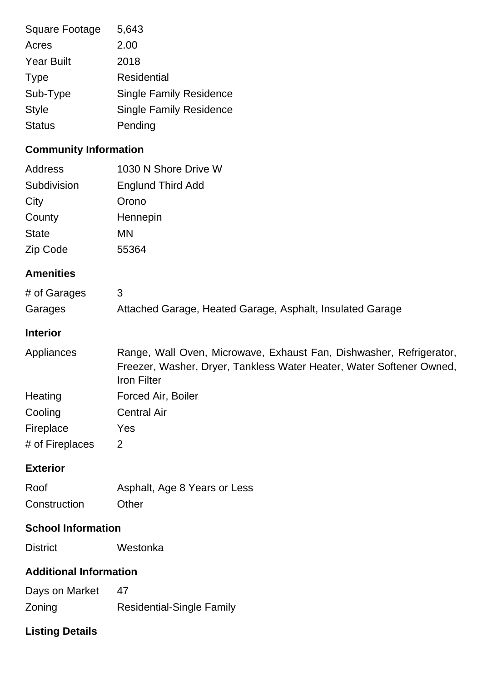| Square Footage<br>Acres<br><b>Year Built</b><br><b>Type</b><br>Sub-Type<br><b>Style</b>         | 5,643<br>2.00<br>2018<br><b>Residential</b><br><b>Single Family Residence</b><br><b>Single Family Residence</b>                                                   |
|-------------------------------------------------------------------------------------------------|-------------------------------------------------------------------------------------------------------------------------------------------------------------------|
| <b>Status</b>                                                                                   | Pending                                                                                                                                                           |
| <b>Community Information</b><br><b>Address</b><br>Subdivision<br>City<br>County<br><b>State</b> | 1030 N Shore Drive W<br><b>Englund Third Add</b><br>Orono<br>Hennepin<br><b>MN</b>                                                                                |
| Zip Code                                                                                        | 55364                                                                                                                                                             |
| <b>Amenities</b>                                                                                |                                                                                                                                                                   |
| # of Garages<br>Garages                                                                         | 3<br>Attached Garage, Heated Garage, Asphalt, Insulated Garage                                                                                                    |
| <b>Interior</b>                                                                                 |                                                                                                                                                                   |
| Appliances                                                                                      | Range, Wall Oven, Microwave, Exhaust Fan, Dishwasher, Refrigerator,<br>Freezer, Washer, Dryer, Tankless Water Heater, Water Softener Owned,<br><b>Iron Filter</b> |
| Heating                                                                                         | Forced Air, Boiler                                                                                                                                                |
| Cooling                                                                                         | <b>Central Air</b>                                                                                                                                                |
| Fireplace<br># of Fireplaces                                                                    | Yes<br>2                                                                                                                                                          |
| <b>Exterior</b>                                                                                 |                                                                                                                                                                   |
| Roof<br>Construction                                                                            | Asphalt, Age 8 Years or Less<br>Other                                                                                                                             |
| <b>School Information</b>                                                                       |                                                                                                                                                                   |
| <b>District</b>                                                                                 | Westonka                                                                                                                                                          |
| <b>Additional Information</b>                                                                   |                                                                                                                                                                   |
| Days on Market<br>Zoning                                                                        | 47<br><b>Residential-Single Family</b>                                                                                                                            |
|                                                                                                 |                                                                                                                                                                   |

## **Listing Details**